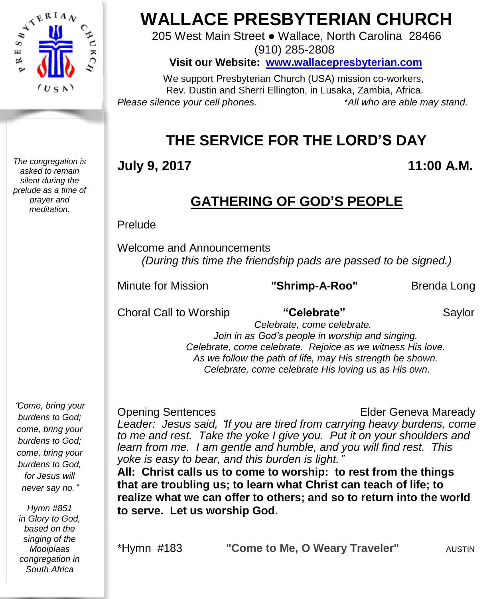

*The congregation is asked to remain silent during the prelude as a time of prayer and meditation.*

# **WALLACE PRESBYTERIAN CHURCH**

205 West Main Street ● Wallace, North Carolina 28466 (910) 285-2808

**Visit our Website: [www.wallacepresbyterian.com](http://www.wallacepresbyterian.com/)**

 We support Presbyterian Church (USA) mission co-workers, Rev. Dustin and Sherri Ellington, in Lusaka, Zambia, Africa. *Please silence your cell phones. \*All who are able may stand.*

# **THE SERVICE FOR THE LORD'S DAY**

# **July 9, 2017 11:00 A.M.**

# **GATHERING OF GOD'S PEOPLE**

### Prelude

Welcome and Announcements *(During this time the friendship pads are passed to be signed.)*

Minute for Mission **"Shrimp-A-Roo"** Brenda Long

Choral Call to Worship **"Celebrate"** Saylor

 *Celebrate, come celebrate. Join in as God's people in worship and singing. Celebrate, come celebrate. Rejoice as we witness His love. As we follow the path of life, may His strength be shown. Celebrate, come celebrate His loving us as His own.*

Opening Sentences Elder Geneva Maready *Leader: Jesus said,* "*If you are tired from carrying heavy burdens, come to me and rest. Take the yoke I give you. Put it on your shoulders and learn from me. I am gentle and humble, and you will find rest. This yoke is easy to bear, and this burden is light.*" **All: Christ calls us to come to worship: to rest from the things**

**that are troubling us; to learn what Christ can teach of life; to realize what we can offer to others; and so to return into the world to serve. Let us worship God.**

\*Hymn #183 **"Come to Me, O Weary Traveler"** AUSTIN

"*Come, bring your burdens to God; come, bring your burdens to God; come, bring your burdens to God, for Jesus will never say no.*"

*Hymn #851 in Glory to God, based on the singing of the Mooiplaas congregation in South Africa*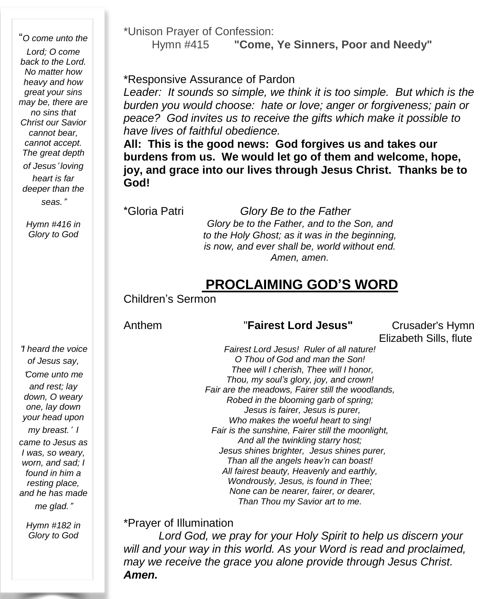"*O come unto the Lord; O come back to the Lord. No matter how heavy and how great your sins may be, there are no sins that Christ our Savior cannot bear, cannot accept. The great depth of Jesus*' *loving heart is far deeper than the seas.*"

> *Hymn #416 in Glory to God*

\*Unison Prayer of Confession:

Hymn #415 **"Come, Ye Sinners, Poor and Needy"**

#### \*Responsive Assurance of Pardon

*Leader: It sounds so simple, we think it is too simple. But which is the burden you would choose: hate or love; anger or forgiveness; pain or peace? God invites us to receive the gifts which make it possible to have lives of faithful obedience.*

**All: This is the good news: God forgives us and takes our burdens from us. We would let go of them and welcome, hope, joy, and grace into our lives through Jesus Christ. Thanks be to God!**

\*Gloria Patri *Glory Be to the Father Glory be to the Father, and to the Son, and to the Holy Ghost; as it was in the beginning, is now, and ever shall be, world without end. Amen, amen.*

## **PROCLAIMING GOD'S WORD**

Children's Sermon

#### Anthem "**Fairest Lord Jesus"** Crusader's Hymn

Elizabeth Sills, flute

*of Jesus say,* '*Come unto me and rest; lay down, O weary one, lay down your head upon my breast.*' *I came to Jesus as I was, so weary, worn, and sad; I found in him a resting place, and he has made*

"*I heard the voice*

*me glad.*"

*Hymn #182 in Glory to God*

*Fairest Lord Jesus! Ruler of all nature! O Thou of God and man the Son! Thee will I cherish, Thee will I honor, Thou, my soul's glory, joy, and crown! Fair are the meadows, Fairer still the woodlands, Robed in the blooming garb of spring; Jesus is fairer, Jesus is purer, Who makes the woeful heart to sing! Fair is the sunshine, Fairer still the moonlight, And all the twinkling starry host; Jesus shines brighter, Jesus shines purer, Than all the angels heav'n can boast! All fairest beauty, Heavenly and earthly, Wondrously, Jesus, is found in Thee; None can be nearer, fairer, or dearer, Than Thou my Savior art to me.*

\*Prayer of Illumination

*Lord God, we pray for your Holy Spirit to help us discern your will and your way in this world. As your Word is read and proclaimed, may we receive the grace you alone provide through Jesus Christ. Amen.*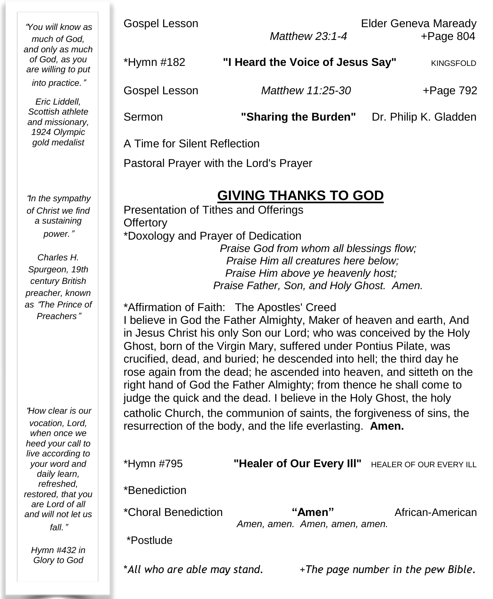| "You will know as<br>much of God.<br>and only as much<br>of God, as you<br>are willing to put<br>into practice."<br>Eric Liddell,<br>Scottish athlete<br>and missionary,<br>1924 Olympic<br>gold medalist | <b>Gospel Lesson</b>                                                                                                                                                                                                                                                                                                                                                                                                                                                                                                                                                                                                                                                                                                                                                                                                                                              | Matthew 23:1-4                   | <b>Elder Geneva Maready</b><br>$+Page 804$ |  |
|-----------------------------------------------------------------------------------------------------------------------------------------------------------------------------------------------------------|-------------------------------------------------------------------------------------------------------------------------------------------------------------------------------------------------------------------------------------------------------------------------------------------------------------------------------------------------------------------------------------------------------------------------------------------------------------------------------------------------------------------------------------------------------------------------------------------------------------------------------------------------------------------------------------------------------------------------------------------------------------------------------------------------------------------------------------------------------------------|----------------------------------|--------------------------------------------|--|
|                                                                                                                                                                                                           | *Hymn #182                                                                                                                                                                                                                                                                                                                                                                                                                                                                                                                                                                                                                                                                                                                                                                                                                                                        | "I Heard the Voice of Jesus Say" | <b>KINGSFOLD</b>                           |  |
|                                                                                                                                                                                                           | Gospel Lesson                                                                                                                                                                                                                                                                                                                                                                                                                                                                                                                                                                                                                                                                                                                                                                                                                                                     | Matthew 11:25-30                 | $+Page 792$                                |  |
|                                                                                                                                                                                                           | Sermon                                                                                                                                                                                                                                                                                                                                                                                                                                                                                                                                                                                                                                                                                                                                                                                                                                                            | "Sharing the Burden"             | Dr. Philip K. Gladden                      |  |
|                                                                                                                                                                                                           | A Time for Silent Reflection                                                                                                                                                                                                                                                                                                                                                                                                                                                                                                                                                                                                                                                                                                                                                                                                                                      |                                  |                                            |  |
|                                                                                                                                                                                                           | Pastoral Prayer with the Lord's Prayer                                                                                                                                                                                                                                                                                                                                                                                                                                                                                                                                                                                                                                                                                                                                                                                                                            |                                  |                                            |  |
| "In the sympathy<br>of Christ we find<br>a sustaining<br>power."<br>Charles H.<br>Spurgeon, 19th<br>century British<br>preacher, known<br>as <i>"The Prince of</i><br>Preachers"                          | <b>GIVING THANKS TO GOD</b><br>Presentation of Tithes and Offerings<br>Offertory<br>*Doxology and Prayer of Dedication<br>Praise God from whom all blessings flow;<br>Praise Him all creatures here below;<br>Praise Him above ye heavenly host;<br>Praise Father, Son, and Holy Ghost. Amen.<br>*Affirmation of Faith: The Apostles' Creed<br>I believe in God the Father Almighty, Maker of heaven and earth, And<br>in Jesus Christ his only Son our Lord; who was conceived by the Holy<br>Ghost, born of the Virgin Mary, suffered under Pontius Pilate, was<br>crucified, dead, and buried; he descended into hell; the third day he<br>rose again from the dead; he ascended into heaven, and sitteth on the<br>right hand of God the Father Almighty; from thence he shall come to<br>judge the quick and the dead. I believe in the Holy Ghost, the holy |                                  |                                            |  |
| "How clear is our<br>vocation, Lord,<br>when once we<br>heed your call to                                                                                                                                 | catholic Church, the communion of saints, the forgiveness of sins, the<br>resurrection of the body, and the life everlasting. Amen.                                                                                                                                                                                                                                                                                                                                                                                                                                                                                                                                                                                                                                                                                                                               |                                  |                                            |  |
| live according to<br>your word and                                                                                                                                                                        | *Hymn #795                                                                                                                                                                                                                                                                                                                                                                                                                                                                                                                                                                                                                                                                                                                                                                                                                                                        | "Healer of Our Every III"        | HEALER OF OUR EVERY ILL                    |  |

\*Benediction

*daily learn, refreshed, restored, that you are Lord of all and will not let us fall.*"

> *Hymn #432 in Glory to God*

\*Choral Benediction **"Amen"** African-American *Amen, amen. Amen, amen, amen.*

\*Postlude

\**All who are able may stand.* +*The page number in the pew Bible.*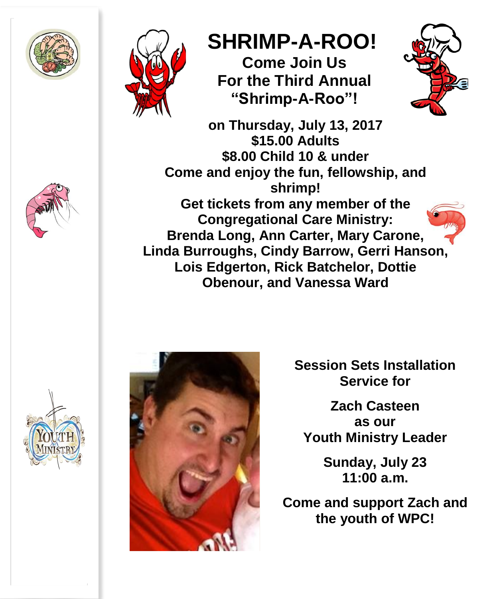



# **SHRIMP-A-ROO!**

**Come Join Us For the Third Annual "Shrimp-A-Roo"!**



**on Thursday, July 13, 2017 \$15.00 Adults \$8.00 Child 10 & under Come and enjoy the fun, fellowship, and shrimp! Get tickets from any member of the Congregational Care Ministry: Brenda Long, Ann Carter, Mary Carone, Linda Burroughs, Cindy Barrow, Gerri Hanson, Lois Edgerton, Rick Batchelor, Dottie Obenour, and Vanessa Ward**





**Session Sets Installation Service for**

**Zach Casteen as our Youth Ministry Leader**

> **Sunday, July 23 11:00 a.m.**

**Come and support Zach and the youth of WPC!**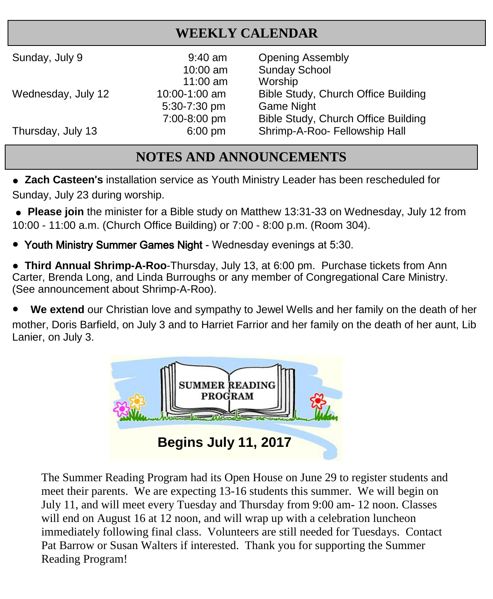# **WEEKLY CALENDAR**

| Sunday, July 9     | $9:40$ am<br>$10:00$ am | <b>Opening Assembly</b><br><b>Sunday School</b> |
|--------------------|-------------------------|-------------------------------------------------|
|                    | $11:00$ am              | Worship                                         |
| Wednesday, July 12 | 10:00-1:00 am           | Bible Study, Church Office Building             |
|                    | 5:30-7:30 pm            | <b>Game Night</b>                               |
|                    | 7:00-8:00 pm            | Bible Study, Church Office Building             |
| Thursday, July 13  | $6:00$ pm               | Shrimp-A-Roo- Fellowship Hall                   |

# **NOTES AND ANNOUNCEMENTS**

**• Zach Casteen's** installation service as Youth Ministry Leader has been rescheduled for Sunday, July 23 during worship.

**● Please join** the minister for a Bible study on Matthew 13:31-33 on Wednesday, July 12 from 10:00 - 11:00 a.m. (Church Office Building) or 7:00 - 8:00 p.m. (Room 304).

● Youth Ministry Summer Games Night - Wednesday evenings at 5:30.

● **Third Annual Shrimp-A-Roo**-Thursday, July 13, at 6:00 pm. Purchase tickets from Ann Carter, Brenda Long, and Linda Burroughs or any member of Congregational Care Ministry. (See announcement about Shrimp-A-Roo).

**We extend** our Christian love and sympathy to Jewel Wells and her family on the death of her mother, Doris Barfield, on July 3 and to Harriet Farrior and her family on the death of her aunt, Lib Lanier, on July 3.



The Summer Reading Program had its Open House on June 29 to register students and meet their parents. We are expecting 13-16 students this summer. We will begin on July 11, and will meet every Tuesday and Thursday from 9:00 am- 12 noon. Classes will end on August 16 at 12 noon, and will wrap up with a celebration luncheon immediately following final class. Volunteers are still needed for Tuesdays. Contact Pat Barrow or Susan Walters if interested. Thank you for supporting the Summer Reading Program!